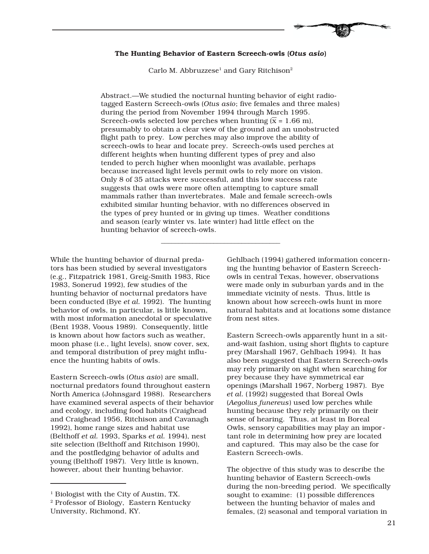## **The Hunting Behavior of Eastern Screech-owls (***Otus asio***)**

Carlo M. Abbruzzese<sup>1</sup> and Gary Ritchison<sup>2</sup>

Abstract.—We studied the nocturnal hunting behavior of eight radiotagged Eastern Screech-owls (*Otus asio*; five females and three males) during the period from November 1994 through March 1995. Screech-owls selected low perches when hunting  $(\bar{x} = 1.66 \text{ m})$ , presumably to obtain a clear view of the ground and an unobstructed flight path to prey. Low perches may also improve the ability of screech-owls to hear and locate prey. Screech-owls used perches at different heights when hunting different types of prey and also tended to perch higher when moonlight was available, perhaps because increased light levels permit owls to rely more on vision. Only 8 of 35 attacks were successful, and this low success rate suggests that owls were more often attempting to capture small mammals rather than invertebrates. Male and female screech-owls exhibited similar hunting behavior, with no differences observed in the types of prey hunted or in giving up times. Weather conditions and season (early winter vs. late winter) had little effect on the hunting behavior of screech-owls.

\_\_\_\_\_\_\_\_\_\_\_\_\_\_\_\_\_\_\_\_\_\_\_\_\_\_\_\_\_\_\_\_\_\_

While the hunting behavior of diurnal predators has been studied by several investigators (e.g., Fitzpatrick 1981, Greig-Smith 1983, Rice 1983, Sonerud 1992), few studies of the hunting behavior of nocturnal predators have been conducted (Bye *et al.* 1992). The hunting behavior of owls, in particular, is little known, with most information anecdotal or speculative (Bent 1938, Voous 1989). Consequently, little is known about how factors such as weather, moon phase (i.e., light levels), snow cover, sex, and temporal distribution of prey might influence the hunting habits of owls.

Eastern Screech-owls (*Otus asio*) are small, nocturnal predators found throughout eastern North America (Johnsgard 1988). Researchers have examined several aspects of their behavior and ecology, including food habits (Craighead and Craighead 1956, Ritchison and Cavanagh 1992), home range sizes and habitat use (Belthoff *et al.* 1993, Sparks *et al.* 1994), nest site selection (Belthoff and Ritchison 1990), and the postfledging behavior of adults and young (Belthoff 1987). Very little is known, however, about their hunting behavior.

Gehlbach (1994) gathered information concerning the hunting behavior of Eastern Screechowls in central Texas, however, observations were made only in suburban yards and in the immediate vicinity of nests. Thus, little is known about how screech-owls hunt in more natural habitats and at locations some distance from nest sites.

Eastern Screech-owls apparently hunt in a sitand-wait fashion, using short flights to capture prey (Marshall 1967, Gehlbach 1994). It has also been suggested that Eastern Screech-owls may rely primarily on sight when searching for prey because they have symmetrical ear openings (Marshall 1967, Norberg 1987). Bye *et al.* (1992) suggested that Boreal Owls (*Aegolius funereus*) used low perches while hunting because they rely primarily on their sense of hearing. Thus, at least in Boreal Owls, sensory capabilities may play an important role in determining how prey are located and captured. This may also be the case for Eastern Screech-owls.

The objective of this study was to describe the hunting behavior of Eastern Screech-owls during the non-breeding period. We specifically sought to examine: (1) possible differences between the hunting behavior of males and females, (2) seasonal and temporal variation in

<sup>&</sup>lt;sup>1</sup> Biologist with the City of Austin, TX.

<sup>2</sup> Professor of Biology, Eastern Kentucky University, Richmond, KY.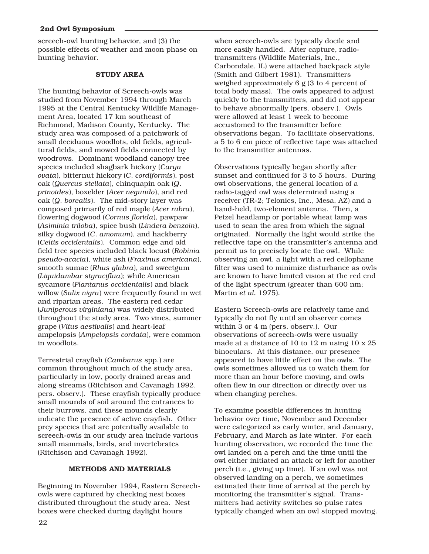screech-owl hunting behavior, and (3) the possible effects of weather and moon phase on hunting behavior.

## **STUDY AREA**

The hunting behavior of Screech-owls was studied from November 1994 through March 1995 at the Central Kentucky Wildlife Management Area, located 17 km southeast of Richmond, Madison County, Kentucky. The study area was composed of a patchwork of small deciduous woodlots, old fields, agricultural fields, and mowed fields connected by woodrows. Dominant woodland canopy tree species included shagbark hickory (*Carya ovata*), bitternut hickory (*C*. *cordiformis*), post oak (*Quercus stellata*), chinquapin oak (*Q*. *prinoides*), boxelder (*Acer negundo*), and red oak (*Q*. *borealis*). The mid-story layer was composed primarily of red maple (*Acer rubra*), flowering dogwood (*Cornus florida*), pawpaw (*Asiminia triloba*), spice bush (*Lindera benzoin*), silky dogwood (*C*. *amomum*), and hackberry (*Celtis occidentalis*). Common edge and old field tree species included black locust (*Robinia pseudo-acacia*), white ash (*Fraxinus americana*), smooth sumac (*Rhus glabra*), and sweetgum (*Liquidambar styraciflua*); while American sycamore (*Plantanus occidentalis*) and black willow (*Salix nigra*) were frequently found in wet and riparian areas. The eastern red cedar (*Juniperous virginiana*) was widely distributed throughout the study area. Two vines, summer grape (*Vitus aestivalis*) and heart-leaf ampelopsis (*Ampelopsis cordata*), were common in woodlots.

Terrestrial crayfish (*Cambarus* spp.) are common throughout much of the study area, particularly in low, poorly drained areas and along streams (Ritchison and Cavanagh 1992, pers. observ.). These crayfish typically produce small mounds of soil around the entrances to their burrows, and these mounds clearly indicate the presence of active crayfish. Other prey species that are potentially available to screech-owls in our study area include various small mammals, birds, and invertebrates (Ritchison and Cavanagh 1992).

# **METHODS AND MATERIALS**

Beginning in November 1994, Eastern Screechowls were captured by checking nest boxes distributed throughout the study area. Nest boxes were checked during daylight hours

when screech-owls are typically docile and more easily handled. After capture, radiotransmitters (Wildlife Materials, Inc., Carbondale, IL) were attached backpack style (Smith and Gilbert 1981). Transmitters weighed approximately 6 g (3 to 4 percent of total body mass). The owls appeared to adjust quickly to the transmitters, and did not appear to behave abnormally (pers. observ.). Owls were allowed at least 1 week to become accustomed to the transmitter before observations began. To facilitate observations, a 5 to 6 cm piece of reflective tape was attached to the transmitter antennas.

Observations typically began shortly after sunset and continued for 3 to 5 hours. During owl observations, the general location of a radio-tagged owl was determined using a receiver (TR-2; Telonics, Inc., Mesa, AZ) and a hand-held, two-element antenna. Then, a Petzel headlamp or portable wheat lamp was used to scan the area from which the signal originated. Normally the light would strike the reflective tape on the transmitter's antenna and permit us to precisely locate the owl. While observing an owl, a light with a red cellophane filter was used to minimize disturbance as owls are known to have limited vision at the red end of the light spectrum (greater than 600 nm; Martin *et al.* 1975).

Eastern Screech-owls are relatively tame and typically do not fly until an observer comes within 3 or 4 m (pers. observ.). Our observations of screech-owls were usually made at a distance of 10 to 12 m using 10 x 25 binoculars. At this distance, our presence appeared to have little effect on the owls. The owls sometimes allowed us to watch them for more than an hour before moving, and owls often flew in our direction or directly over us when changing perches.

To examine possible differences in hunting behavior over time, November and December were categorized as early winter, and January, February, and March as late winter. For each hunting observation, we recorded the time the owl landed on a perch and the time until the owl either initiated an attack or left for another perch (i.e., giving up time). If an owl was not observed landing on a perch, we sometimes estimated their time of arrival at the perch by monitoring the transmitter's signal. Transmitters had activity switches so pulse rates typically changed when an owl stopped moving.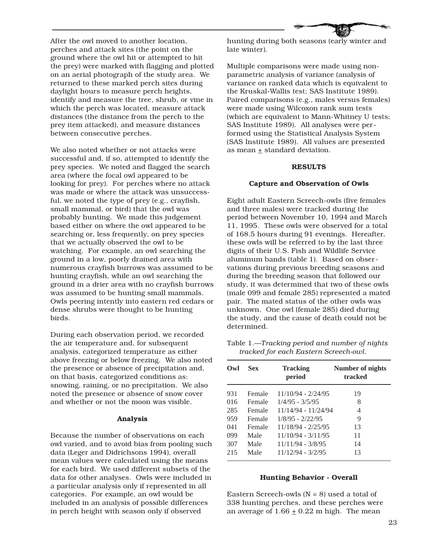After the owl moved to another location, perches and attack sites (the point on the ground where the owl hit or attempted to hit the prey) were marked with flagging and plotted on an aerial photograph of the study area. We returned to these marked perch sites during daylight hours to measure perch heights, identify and measure the tree, shrub, or vine in which the perch was located, measure attack distances (the distance from the perch to the prey item attacked), and measure distances between consecutive perches.

We also noted whether or not attacks were successful and, if so, attempted to identify the prey species. We noted and flagged the search area (where the focal owl appeared to be looking for prey). For perches where no attack was made or where the attack was unsuccessful, we noted the type of prey (e.g., crayfish, small mammal, or bird) that the owl was probably hunting. We made this judgement based either on where the owl appeared to be searching or, less frequently, on prey species that we actually observed the owl to be watching. For example, an owl searching the ground in a low, poorly drained area with numerous crayfish burrows was assumed to be hunting crayfish, while an owl searching the ground in a drier area with no crayfish burrows was assumed to be hunting small mammals. Owls peering intently into eastern red cedars or dense shrubs were thought to be hunting birds.

During each observation period, we recorded the air temperature and, for subsequent analysis, categorized temperature as either above freezing or below freezing. We also noted the presence or absence of precipitation and, on that basis, categorized conditions as: snowing, raining, or no precipitation. We also noted the presence or absence of snow cover and whether or not the moon was visible.

#### **Analysis**

Because the number of observations on each owl varied, and to avoid bias from pooling such data (Leger and Didrichsons 1994), overall mean values were calculated using the means for each bird. We used different subsets of the data for other analyses. Owls were included in a particular analysis only if represented in all categories. For example, an owl would be included in an analysis of possible differences in perch height with season only if observed

hunting during both seasons (early winter and late winter).

Multiple comparisons were made using nonparametric analysis of variance (analysis of variance on ranked data which is equivalent to the Kruskal-Wallis test; SAS Institute 1989). Paired comparisons (e.g., males versus females) were made using Wilcoxon rank sum tests (which are equivalent to Mann-Whitney U tests; SAS Institute 1989). All analyses were performed using the Statistical Analysis System (SAS Institute 1989). All values are presented as mean  $\pm$  standard deviation.

# **RESULTS**

# **Capture and Observation of Owls**

Eight adult Eastern Screech-owls (five females and three males) were tracked during the period between November 10, 1994 and March 11, 1995. These owls were observed for a total of 168.5 hours during 91 evenings. Hereafter, these owls will be referred to by the last three digits of their U.S. Fish and Wildlife Service aluminum bands (table 1). Based on observations during previous breeding seasons and during the breeding season that followed our study, it was determined that two of these owls (male 099 and female 285) represented a mated pair. The mated status of the other owls was unknown. One owl (female 285) died during the study, and the cause of death could not be determined.

Table 1.—*Tracking period and number of nights tracked for each Eastern Screech-owl.*

| $\alpha$ | <b>Sex</b> | <b>Tracking</b><br>period | Number of nights<br>tracked |
|----------|------------|---------------------------|-----------------------------|
| 931      | Female     | 11/10/94 - 2/24/95        | 19                          |
| 016      | Female     | $1/4/95 - 3/5/95$         | 8                           |
| 285      | Female     | 11/14/94 - 11/24/94       | 4                           |
| 959      | Female     | $1/8/95 - 2/22/95$        | 9                           |
| 041      | Female     | $11/18/94 - 2/25/95$      | 13                          |
| 099      | Male       | $11/10/94 - 3/11/95$      | 11                          |
| 307      | Male       | $11/11/94 - 3/8/95$       | 14                          |
| 215      | Male       | $11/12/94 - 3/2/95$       | 13                          |

# **Hunting Behavior - Overall**

Eastern Screech-owls  $(N = 8)$  used a total of 338 hunting perches, and these perches were an average of  $1.66 \pm 0.22$  m high. The mean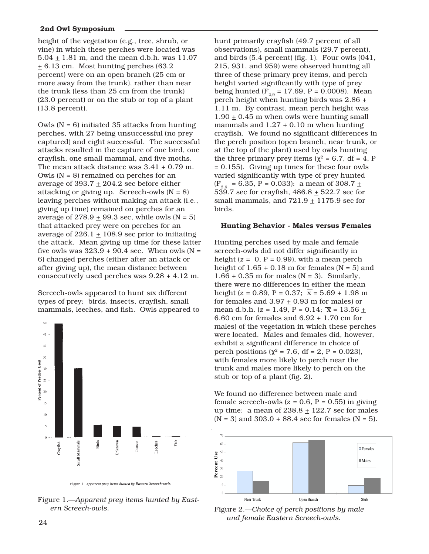height of the vegetation (e.g., tree, shrub, or vine) in which these perches were located was  $5.04 \pm 1.81$  m, and the mean d.b.h. was 11.07  $\pm$  6.13 cm. Most hunting perches (63.2) percent) were on an open branch (25 cm or more away from the trunk), rather than near the trunk (less than 25 cm from the trunk) (23.0 percent) or on the stub or top of a plant (13.8 percent).

Owls (N = 6) initiated 35 attacks from hunting perches, with 27 being unsuccessful (no prey captured) and eight successful. The successful attacks resulted in the capture of one bird, one crayfish, one small mammal, and five moths. The mean attack distance was  $3.41 \pm 0.79$  m. Owls ( $N = 8$ ) remained on perches for an average of 393.7  $\pm$  204.2 sec before either attacking or giving up. Screech-owls  $(N = 8)$ leaving perches without making an attack (i.e., giving up time) remained on perches for an average of  $278.9 \pm 99.3$  sec, while owls (N = 5) that attacked prey were on perches for an average of  $226.1 \pm 108.9$  sec prior to initiating the attack. Mean giving up time for these latter five owls was  $323.9 \pm 90.4$  sec. When owls (N = 6) changed perches (either after an attack or after giving up), the mean distance between consecutively used perches was  $9.28 \pm 4.12$  m.

Screech-owls appeared to hunt six different types of prey: birds, insects, crayfish, small mammals, leeches, and fish. Owls appeared to



Figure 1. Apparent prey items hunted by Eastern Screech-owls.

Figure 1.—*Apparent prey items hunted by Eastern Screech-owls.*

hunt primarily crayfish (49.7 percent of all observations), small mammals (29.7 percent), and birds (5.4 percent) (fig. 1). Four owls (041, 215, 931, and 959) were observed hunting all three of these primary prey items, and perch height varied significantly with type of prey being hunted  $(F_{2.9} = 17.69, P = 0.0008)$ . Mean perch height when hunting birds was  $2.86 \pm$ 1.11 m. By contrast, mean perch height was  $1.90 \pm 0.45$  m when owls were hunting small mammals and  $1.27 \pm 0.10$  m when hunting crayfish. We found no significant differences in the perch position (open branch, near trunk, or at the top of the plant) used by owls hunting the three primary prey items ( $\chi^2$  = 6.7, df = 4, P = 0.155). Giving up times for these four owls varied significantly with type of prey hunted  $(F_{26} = 6.35, P = 0.033)$ : a mean of 308.7  $\pm$ 539.7 sec for crayfish,  $486.8 \pm 522.7$  sec for small mammals, and  $721.9 \pm 1175.9$  sec for birds.

## **Hunting Behavior - Males versus Females**

Hunting perches used by male and female screech-owls did not differ significantly in height  $(z = 0, P = 0.99)$ , with a mean perch height of  $1.65 \pm 0.18$  m for females (N = 5) and  $1.66 \pm 0.35$  m for males (N = 3). Similarly, there were no differences in either the mean height (*z* = 0.89, P = 0.37;  $\overline{x}$  = 5.69  $\pm$  1.98 m for females and  $3.97 \pm 0.93$  m for males) or mean d.b.h. ( $z = 1.49$ ,  $P = 0.14$ ;  $\overline{x} = 13.56 +$ 6.60 cm for females and  $6.92 \pm 1.70$  cm for males) of the vegetation in which these perches were located. Males and females did, however, exhibit a significant difference in choice of perch positions ( $\chi^2$  = 7.6, df = 2, P = 0.023), with females more likely to perch near the trunk and males more likely to perch on the stub or top of a plant (fig. 2).

We found no difference between male and female screech-owls  $(z = 0.6, P = 0.55)$  in giving up time: a mean of  $238.8 \pm 122.7$  sec for males  $(N = 3)$  and  $303.0 \pm 88.4$  sec for females  $(N = 5)$ .



Figure 2.—*Choice of perch positions by male and female Eastern Screech-owls.* <sup>24</sup>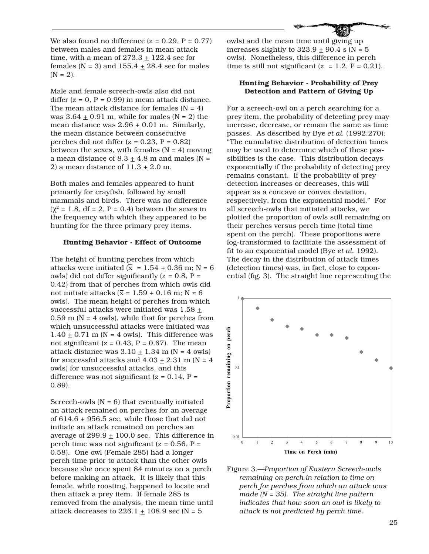We also found no difference  $(z = 0.29, P = 0.77)$ between males and females in mean attack time, with a mean of  $273.3 \pm 122.4$  sec for females (N = 3) and  $155.4 \pm 28.4$  sec for males  $(N = 2)$ .

Male and female screech-owls also did not differ  $(z = 0, P = 0.99)$  in mean attack distance. The mean attack distance for females  $(N = 4)$ was  $3.64 \pm 0.91$  m, while for males (N = 2) the mean distance was  $2.96 \pm 0.01$  m. Similarly, the mean distance between consecutive perches did not differ (*z* = 0.23, P = 0.82) between the sexes, with females  $(N = 4)$  moving a mean distance of  $8.3 \pm 4.8$  m and males (N = 2) a mean distance of  $11.3 \pm 2.0$  m.

Both males and females appeared to hunt primarily for crayfish, followed by small mammals and birds. There was no difference  $(\chi^2 = 1.8, df = 2, P = 0.4)$  between the sexes in the frequency with which they appeared to be hunting for the three primary prey items.

### **Hunting Behavior - Effect of Outcome**

The height of hunting perches from which attacks were initiated  $(\bar{x} = 1.54 \pm 0.36 \text{ m}; \text{ N} = 6$ owls) did not differ significantly (*z* = 0.8, P = 0.42) from that of perches from which owls did not initiate attacks ( $\bar{x}$  = 1.59  $\pm$  0.16 m; N = 6 owls). The mean height of perches from which successful attacks were initiated was  $1.58 \pm$  $0.59$  m (N = 4 owls), while that for perches from which unsuccessful attacks were initiated was  $1.40 \pm 0.71$  m (N = 4 owls). This difference was not significant  $(z = 0.43, P = 0.67)$ . The mean attack distance was  $3.10 \pm 1.34$  m (N = 4 owls) for successful attacks and  $4.03 \pm 2.31$  m (N = 4) owls) for unsuccessful attacks, and this difference was not significant (*z* = 0.14, P = 0.89).

Screech-owls  $(N = 6)$  that eventually initiated an attack remained on perches for an average of 614.6  $\pm$  956.5 sec, while those that did not initiate an attack remained on perches an average of  $299.9 \pm 100.0$  sec. This difference in perch time was not significant (*z* = 0.56, P = 0.58). One owl (Female 285) had a longer perch time prior to attack than the other owls because she once spent 84 minutes on a perch before making an attack. It is likely that this female, while roosting, happened to locate and then attack a prey item. If female 285 is removed from the analysis, the mean time until attack decreases to 226.1  $\pm$  108.9 sec (N = 5



owls) and the mean time until giving up increases slightly to  $323.9 \pm 90.4$  s (N = 5) owls). Nonetheless, this difference in perch time is still not significant  $(z = 1.2, P = 0.21)$ .

## **Hunting Behavior - Probability of Prey Detection and Pattern of Giving Up**

For a screech-owl on a perch searching for a prey item, the probability of detecting prey may increase, decrease, or remain the same as time passes. As described by Bye *et al.* (1992:270): "The cumulative distribution of detection times may be used to determine which of these possibilities is the case. This distribution decays exponentially if the probability of detecting prey remains constant. If the probability of prey detection increases or decreases, this will appear as a concave or convex deviation, respectively, from the exponential model." For all screech-owls that initiated attacks, we plotted the proportion of owls still remaining on their perches versus perch time (total time spent on the perch). These proportions were log-transformed to facilitate the assessment of fit to an exponential model (Bye *et al.* 1992). The decay in the distribution of attack times (detection times) was, in fact, close to exponential (fig. 3). The straight line representing the



Figure 3.—*Proportion of Eastern Screech-owls remaining on perch in relation to time on perch for perches from which an attack was made (N = 35). The straight line pattern indicates that how soon an owl is likely to attack is not predicted by perch time.*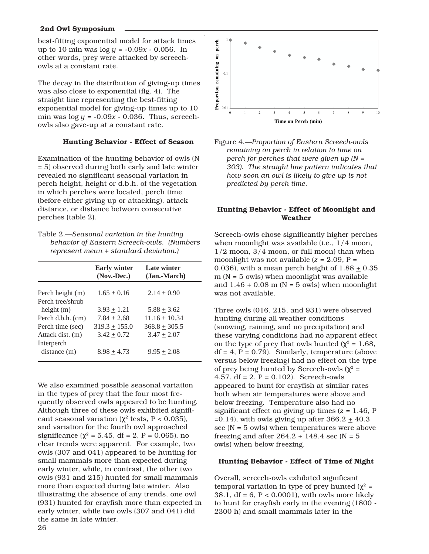best-fitting exponential model for attack times up to 10 min was log *y* = -0.09*x* - 0.056. In other words, prey were attacked by screechowls at a constant rate.

The decay in the distribution of giving-up times was also close to exponential (fig. 4). The straight line representing the best-fitting exponential model for giving-up times up to 10 min was  $\log y = -0.09x - 0.036$ . Thus, screechowls also gave-up at a constant rate.

## **Hunting Behavior - Effect of Season**

Examination of the hunting behavior of owls (N = 5) observed during both early and late winter revealed no significant seasonal variation in perch height, height or d.b.h. of the vegetation in which perches were located, perch time (before either giving up or attacking), attack distance, or distance between consecutive perches (table 2).

| Table 2.—Seasonal variation in the hunting |  |
|--------------------------------------------|--|
| behavior of Eastern Screech-owls. (Numbers |  |
| represent mean $\pm$ standard deviation.)  |  |

|                   | <b>Early winter</b><br>(Nov. Dec.) | Late winter<br>(Jan.-March) |
|-------------------|------------------------------------|-----------------------------|
| Perch height (m)  | $1.65 + 0.16$                      | $2.14 + 0.90$               |
| Perch tree/shrub  |                                    |                             |
| height $(m)$      | $3.93 + 1.21$                      | $5.88 + 3.62$               |
| Perch d.b.h. (cm) | $7.84 + 2.68$                      | $11.16 + 10.34$             |
| Perch time (sec)  | $319.3 + 155.0$                    | $368.8 + 305.5$             |
| Attack dist. (m)  | $3.42 \pm 0.72$                    | $3.47 + 2.07$               |
| Interperch        |                                    |                             |
| distance(m)       | $8.98 + 4.73$                      | $9.95 + 2.08$               |

We also examined possible seasonal variation in the types of prey that the four most frequently observed owls appeared to be hunting. Although three of these owls exhibited significant seasonal variation ( $\chi^2$  tests, P < 0.035), and variation for the fourth owl approached significance ( $\chi^2$  = 5.45, df = 2, P = 0.065), no clear trends were apparent. For example, two owls (307 and 041) appeared to be hunting for small mammals more than expected during early winter, while, in contrast, the other two owls (931 and 215) hunted for small mammals more than expected during late winter. Also illustrating the absence of any trends, one owl (931) hunted for crayfish more than expected in early winter, while two owls (307 and 041) did the same in late winter.





# **Hunting Behavior - Effect of Moonlight and Weather**

Screech-owls chose significantly higher perches when moonlight was available (i.e., 1/4 moon, 1/2 moon, 3/4 moon, or full moon) than when moonlight was not available (*z* = 2.09, P = 0.036), with a mean perch height of  $1.88 \pm 0.35$  $m (N = 5 \text{ owls})$  when moonlight was available and  $1.46 \pm 0.08$  m (N = 5 owls) when moonlight was not available.

Three owls (016, 215, and 931) were observed hunting during all weather conditions (snowing, raining, and no precipitation) and these varying conditions had no apparent effect on the type of prey that owls hunted ( $\chi^2$  = 1.68,  $df = 4$ ,  $P = 0.79$ . Similarly, temperature (above versus below freezing) had no effect on the type of prey being hunted by Screech-owls ( $\chi^2$  = 4.57, df = 2, P = 0.102). Screech-owls appeared to hunt for crayfish at similar rates both when air temperatures were above and below freezing. Temperature also had no significant effect on giving up times (*z* = 1.46, P =0.14), with owls giving up after  $366.2 \pm 40.3$ sec  $(N = 5$  owls) when temperatures were above freezing and after  $264.2 \pm 148.4$  sec (N = 5) owls) when below freezing.

#### **Hunting Behavior - Effect of Time of Night**

Overall, screech-owls exhibited significant temporal variation in type of prey hunted ( $χ² =$ 38.1, df = 6, P < 0.0001), with owls more likely to hunt for crayfish early in the evening (1800 - 2300 h) and small mammals later in the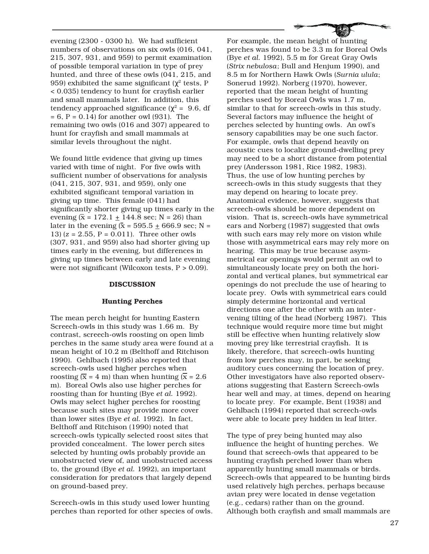evening (2300 - 0300 h). We had sufficient numbers of observations on six owls (016, 041, 215, 307, 931, and 959) to permit examination of possible temporal variation in type of prey hunted, and three of these owls (041, 215, and 959) exhibited the same significant ( $\chi^2$  tests, P < 0.035) tendency to hunt for crayfish earlier and small mammals later. In addition, this tendency approached significance ( $χ² = 9.6$ , df  $= 6$ , P  $= 0.14$ ) for another owl (931). The remaining two owls (016 and 307) appeared to hunt for crayfish and small mammals at similar levels throughout the night.

We found little evidence that giving up times varied with time of night. For five owls with sufficient number of observations for analysis (041, 215, 307, 931, and 959), only one exhibited significant temporal variation in giving up time. This female (041) had significantly shorter giving up times early in the evening  $(\bar{x} = 172.1 + 144.8 \text{ sec}; N = 26)$  than later in the evening  $(\bar{x} = 595.5 \pm 666.9 \text{ sec}; N =$ 13) (*z* = 2.55, P = 0.011). Three other owls (307, 931, and 959) also had shorter giving up times early in the evening, but differences in giving up times between early and late evening were not significant (Wilcoxon tests, P > 0.09).

### **DISCUSSION**

#### **Hunting Perches**

The mean perch height for hunting Eastern Screech-owls in this study was 1.66 m. By contrast, screech-owls roosting on open limb perches in the same study area were found at a mean height of 10.2 m (Belthoff and Ritchison 1990). Gehlbach (1995) also reported that screech-owls used higher perches when roosting  $(\bar{x} = 4 \text{ m})$  than when hunting  $(\bar{x} = 2.6 \text{ m})$ m). Boreal Owls also use higher perches for roosting than for hunting (Bye *et al.* 1992). Owls may select higher perches for roosting because such sites may provide more cover than lower sites (Bye *et al.* 1992). In fact, Belthoff and Ritchison (1990) noted that screech-owls typically selected roost sites that provided concealment. The lower perch sites selected by hunting owls probably provide an unobstructed view of, and unobstructed access to, the ground (Bye *et al.* 1992), an important consideration for predators that largely depend on ground-based prey.

Screech-owls in this study used lower hunting perches than reported for other species of owls.

For example, the mean height of hunting perches was found to be 3.3 m for Boreal Owls (Bye *et al.* 1992), 5.5 m for Great Gray Owls (*Strix nebulosa*; Bull and Henjum 1990), and 8.5 m for Northern Hawk Owls (*Surnia ulula*; Sonerud 1992). Norberg (1970), however, reported that the mean height of hunting perches used by Boreal Owls was 1.7 m, similar to that for screech-owls in this study. Several factors may influence the height of perches selected by hunting owls. An owl's sensory capabilities may be one such factor. For example, owls that depend heavily on acoustic cues to localize ground-dwelling prey may need to be a short distance from potential prey (Andersson 1981, Rice 1982, 1983). Thus, the use of low hunting perches by screech-owls in this study suggests that they may depend on hearing to locate prey. Anatomical evidence, however, suggests that screech-owls should be more dependent on vision. That is, screech-owls have symmetrical ears and Norberg (1987) suggested that owls with such ears may rely more on vision while those with asymmetrical ears may rely more on hearing. This may be true because asymmetrical ear openings would permit an owl to simultaneously locate prey on both the horizontal and vertical planes, but symmetrical ear openings do not preclude the use of hearing to locate prey. Owls with symmetrical ears could simply determine horizontal and vertical directions one after the other with an intervening tilting of the head (Norberg 1987). This technique would require more time but might still be effective when hunting relatively slow moving prey like terrestrial crayfish. It is likely, therefore, that screech-owls hunting from low perches may, in part, be seeking auditory cues concerning the location of prey. Other investigators have also reported observations suggesting that Eastern Screech-owls hear well and may, at times, depend on hearing to locate prey. For example, Bent (1938) and Gehlbach (1994) reported that screech-owls were able to locate prey hidden in leaf litter.

The type of prey being hunted may also influence the height of hunting perches. We found that screech-owls that appeared to be hunting crayfish perched lower than when apparently hunting small mammals or birds. Screech-owls that appeared to be hunting birds used relatively high perches, perhaps because avian prey were located in dense vegetation (e.g., cedars) rather than on the ground. Although both crayfish and small mammals are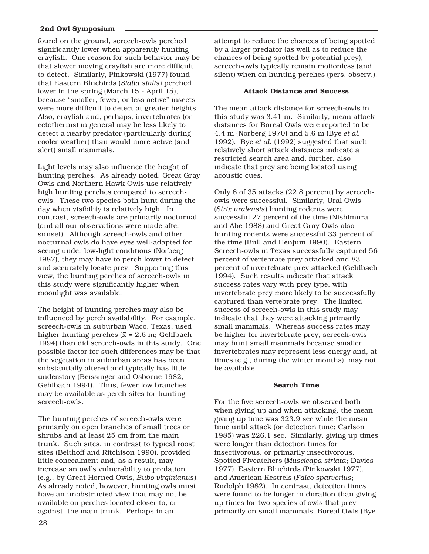found on the ground, screech-owls perched significantly lower when apparently hunting crayfish. One reason for such behavior may be that slower moving crayfish are more difficult to detect. Similarly, Pinkowski (1977) found that Eastern Bluebirds (*Sialia sialis*) perched lower in the spring (March 15 - April 15), because "smaller, fewer, or less active" insects were more difficult to detect at greater heights. Also, crayfish and, perhaps, invertebrates (or ectotherms) in general may be less likely to detect a nearby predator (particularly during cooler weather) than would more active (and alert) small mammals.

Light levels may also influence the height of hunting perches. As already noted, Great Gray Owls and Northern Hawk Owls use relatively high hunting perches compared to screechowls. These two species both hunt during the day when visibility is relatively high. In contrast, screech-owls are primarily nocturnal (and all our observations were made after sunset). Although screech-owls and other nocturnal owls do have eyes well-adapted for seeing under low-light conditions (Norberg 1987), they may have to perch lower to detect and accurately locate prey. Supporting this view, the hunting perches of screech-owls in this study were significantly higher when moonlight was available.

The height of hunting perches may also be influenced by perch availability. For example, screech-owls in suburban Waco, Texas, used higher hunting perches ( $\bar{x}$  = 2.6 m; Gehlbach 1994) than did screech-owls in this study. One possible factor for such differences may be that the vegetation in suburban areas has been substantially altered and typically has little understory (Beissinger and Osborne 1982, Gehlbach 1994). Thus, fewer low branches may be available as perch sites for hunting screech-owls.

The hunting perches of screech-owls were primarily on open branches of small trees or shrubs and at least 25 cm from the main trunk. Such sites, in contrast to typical roost sites (Belthoff and Ritchison 1990), provided little concealment and, as a result, may increase an owl's vulnerability to predation (e.g., by Great Horned Owls, *Bubo virginianus*). As already noted, however, hunting owls must have an unobstructed view that may not be available on perches located closer to, or against, the main trunk. Perhaps in an

28

attempt to reduce the chances of being spotted by a larger predator (as well as to reduce the chances of being spotted by potential prey), screech-owls typically remain motionless (and silent) when on hunting perches (pers. observ.).

# **Attack Distance and Success**

The mean attack distance for screech-owls in this study was 3.41 m. Similarly, mean attack distances for Boreal Owls were reported to be 4.4 m (Norberg 1970) and 5.6 m (Bye *et al.* 1992). Bye *et al.* (1992) suggested that such relatively short attack distances indicate a restricted search area and, further, also indicate that prey are being located using acoustic cues.

Only 8 of 35 attacks (22.8 percent) by screechowls were successful. Similarly, Ural Owls (*Strix uralensis*) hunting rodents were successful 27 percent of the time (Nishimura and Abe 1988) and Great Gray Owls also hunting rodents were successful 33 percent of the time (Bull and Henjum 1990). Eastern Screech-owls in Texas successfully captured 56 percent of vertebrate prey attacked and 83 percent of invertebrate prey attacked (Gehlbach 1994). Such results indicate that attack success rates vary with prey type, with invertebrate prey more likely to be successfully captured than vertebrate prey. The limited success of screech-owls in this study may indicate that they were attacking primarily small mammals. Whereas success rates may be higher for invertebrate prey, screech-owls may hunt small mammals because smaller invertebrates may represent less energy and, at times (e.g., during the winter months), may not be available.

# **Search Time**

For the five screech-owls we observed both when giving up and when attacking, the mean giving up time was 323.9 sec while the mean time until attack (or detection time; Carlson 1985) was 226.1 sec. Similarly, giving up times were longer than detection times for insectivorous, or primarily insectivorous, Spotted Flycatchers (*Muscicapa striata*; Davies 1977), Eastern Bluebirds (Pinkowski 1977), and American Kestrels (*Falco sparverius*; Rudolph 1982). In contrast, detection times were found to be longer in duration than giving up times for two species of owls that prey primarily on small mammals, Boreal Owls (Bye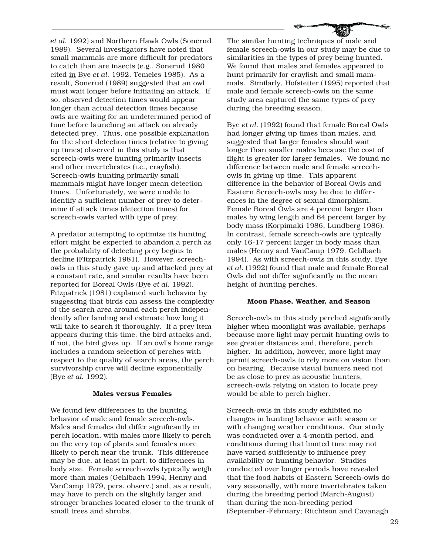*et al.* 1992) and Northern Hawk Owls (Sonerud 1989). Several investigators have noted that small mammals are more difficult for predators to catch than are insects (e.g., Sonerud 1980 cited in Bye *et al.* 1992, Temeles 1985). As a result, Sonerud (1989) suggested that an owl must wait longer before initiating an attack. If so, observed detection times would appear longer than actual detection times because owls are waiting for an undetermined period of time before launching an attack on already detected prey. Thus, one possible explanation for the short detection times (relative to giving up times) observed in this study is that screech-owls were hunting primarily insects and other invertebrates (i.e., crayfish). Screech-owls hunting primarily small mammals might have longer mean detection times. Unfortunately, we were unable to identify a sufficient number of prey to determine if attack times (detection times) for screech-owls varied with type of prey.

A predator attempting to optimize its hunting effort might be expected to abandon a perch as the probability of detecting prey begins to decline (Fitzpatrick 1981). However, screechowls in this study gave up and attacked prey at a constant rate, and similar results have been reported for Boreal Owls (Bye *et al.* 1992). Fitzpatrick (1981) explained such behavior by suggesting that birds can assess the complexity of the search area around each perch independently after landing and estimate how long it will take to search it thoroughly. If a prey item appears during this time, the bird attacks and, if not, the bird gives up. If an owl's home range includes a random selection of perches with respect to the quality of search areas, the perch survivorship curve will decline exponentially (Bye *et al.* 1992).

#### **Males versus Females**

We found few differences in the hunting behavior of male and female screech-owls. Males and females did differ significantly in perch location, with males more likely to perch on the very top of plants and females more likely to perch near the trunk. This difference may be due, at least in part, to differences in body size. Female screech-owls typically weigh more than males (Gehlbach 1994, Henny and VanCamp 1979, pers. observ.) and, as a result, may have to perch on the slightly larger and stronger branches located closer to the trunk of small trees and shrubs.

The similar hunting techniques of male and female screech-owls in our study may be due to similarities in the types of prey being hunted. We found that males and females appeared to hunt primarily for crayfish and small mammals. Similarly, Hofstetter (1995) reported that male and female screech-owls on the same study area captured the same types of prey during the breeding season.

Bye *et al.* (1992) found that female Boreal Owls had longer giving up times than males, and suggested that larger females should wait longer than smaller males because the cost of flight is greater for larger females. We found no difference between male and female screechowls in giving up time. This apparent difference in the behavior of Boreal Owls and Eastern Screech-owls may be due to differences in the degree of sexual dimorphism. Female Boreal Owls are 4 percent larger than males by wing length and 64 percent larger by body mass (Korpimaki 1986, Lundberg 1986). In contrast, female screech-owls are typically only 16-17 percent larger in body mass than males (Henny and VanCamp 1979, Gehlbach 1994). As with screech-owls in this study, Bye *et al.* (1992) found that male and female Boreal Owls did not differ significantly in the mean height of hunting perches.

### **Moon Phase, Weather, and Season**

Screech-owls in this study perched significantly higher when moonlight was available, perhaps because more light may permit hunting owls to see greater distances and, therefore, perch higher. In addition, however, more light may permit screech-owls to rely more on vision than on hearing. Because visual hunters need not be as close to prey as acoustic hunters, screech-owls relying on vision to locate prey would be able to perch higher.

Screech-owls in this study exhibited no changes in hunting behavior with season or with changing weather conditions. Our study was conducted over a 4-month period, and conditions during that limited time may not have varied sufficiently to influence prey availability or hunting behavior. Studies conducted over longer periods have revealed that the food habits of Eastern Screech-owls do vary seasonally, with more invertebrates taken during the breeding period (March-August) than during the non-breeding period (September-February; Ritchison and Cavanagh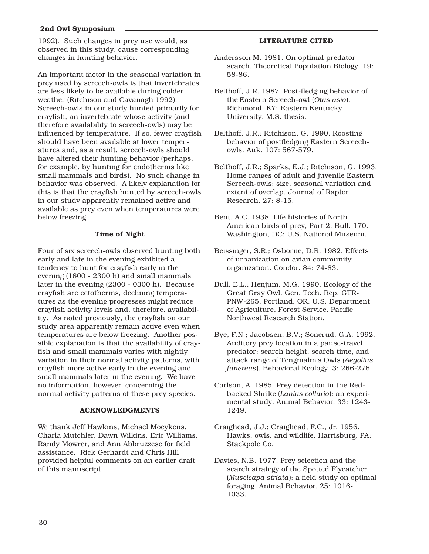1992). Such changes in prey use would, as observed in this study, cause corresponding changes in hunting behavior.

An important factor in the seasonal variation in prey used by screech-owls is that invertebrates are less likely to be available during colder weather (Ritchison and Cavanagh 1992). Screech-owls in our study hunted primarily for crayfish, an invertebrate whose activity (and therefore availability to screech-owls) may be influenced by temperature. If so, fewer crayfish should have been available at lower temperatures and, as a result, screech-owls should have altered their hunting behavior (perhaps, for example, by hunting for endotherms like small mammals and birds). No such change in behavior was observed. A likely explanation for this is that the crayfish hunted by screech-owls in our study apparently remained active and available as prey even when temperatures were below freezing.

## **Time of Night**

Four of six screech-owls observed hunting both early and late in the evening exhibited a tendency to hunt for crayfish early in the evening (1800 - 2300 h) and small mammals later in the evening (2300 - 0300 h). Because crayfish are ectotherms, declining temperatures as the evening progresses might reduce crayfish activity levels and, therefore, availability. As noted previously, the crayfish on our study area apparently remain active even when temperatures are below freezing. Another possible explanation is that the availability of crayfish and small mammals varies with nightly variation in their normal activity patterns, with crayfish more active early in the evening and small mammals later in the evening. We have no information, however, concerning the normal activity patterns of these prey species.

#### **ACKNOWLEDGMENTS**

We thank Jeff Hawkins, Michael Moeykens, Charla Mutchler, Dawn Wilkins, Eric Williams, Randy Mowrer, and Ann Abbruzzese for field assistance. Rick Gerhardt and Chris Hill provided helpful comments on an earlier draft of this manuscript.

#### **LITERATURE CITED**

- Andersson M. 1981. On optimal predator search. Theoretical Population Biology. 19: 58-86.
- Belthoff, J.R. 1987. Post-fledging behavior of the Eastern Screech-owl (*Otus asio*). Richmond, KY: Eastern Kentucky University. M.S. thesis.
- Belthoff, J.R.; Ritchison, G. 1990. Roosting behavior of postfledging Eastern Screechowls. Auk. 107: 567-579.
- Belthoff, J.R.; Sparks, E.J.; Ritchison, G. 1993. Home ranges of adult and juvenile Eastern Screech-owls: size, seasonal variation and extent of overlap. Journal of Raptor Research. 27: 8-15.
- Bent, A.C. 1938. Life histories of North American birds of prey, Part 2. Bull. 170. Washington, DC: U.S. National Museum.
- Beissinger, S.R.; Osborne, D.R. 1982. Effects of urbanization on avian community organization. Condor. 84: 74-83.
- Bull, E.L.; Henjum, M.G. 1990. Ecology of the Great Gray Owl. Gen. Tech. Rep. GTR-PNW-265. Portland, OR: U.S. Department of Agriculture, Forest Service, Pacific Northwest Research Station.
- Bye, F.N.; Jacobsen, B.V.; Sonerud, G.A. 1992. Auditory prey location in a pause-travel predator: search height, search time, and attack range of Tengmalm's Owls *(Aegolius funereus*). Behavioral Ecology. 3: 266-276.
- Carlson, A. 1985. Prey detection in the Redbacked Shrike (*Lanius collurio*): an experimental study. Animal Behavior. 33: 1243- 1249.
- Craighead, J.J.; Craighead, F.C., Jr. 1956. Hawks, owls, and wildlife. Harrisburg, PA: Stackpole Co.
- Davies, N.B. 1977. Prey selection and the search strategy of the Spotted Flycatcher (*Muscicapa striata*): a field study on optimal foraging. Animal Behavior. 25: 1016- 1033.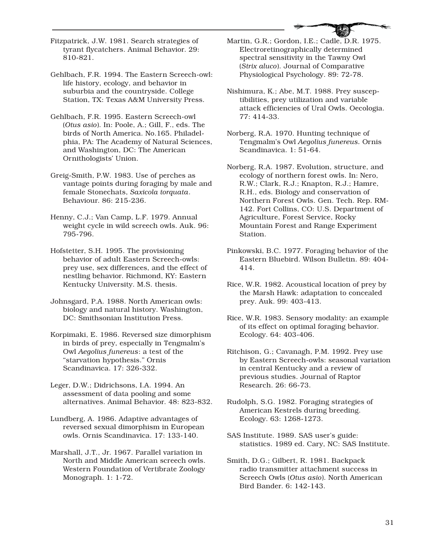Fitzpatrick, J.W. 1981. Search strategies of tyrant flycatchers. Animal Behavior. 29: 810-821.

Gehlbach, F.R. 1994. The Eastern Screech-owl: life history, ecology, and behavior in suburbia and the countryside. College Station, TX: Texas A&M University Press.

Gehlbach, F.R. 1995. Eastern Screech-owl (*Otus asio*). In: Poole, A.; Gill, F., eds. The birds of North America. No.165. Philadelphia, PA: The Academy of Natural Sciences, and Washington, DC: The American Ornithologists' Union.

Greig-Smith, P.W. 1983. Use of perches as vantage points during foraging by male and female Stonechats, *Saxicola torquata*. Behaviour. 86: 215-236.

Henny, C.J.; Van Camp, L.F. 1979. Annual weight cycle in wild screech owls. Auk. 96: 795-796.

Hofstetter, S.H. 1995. The provisioning behavior of adult Eastern Screech-owls: prey use, sex differences, and the effect of nestling behavior. Richmond, KY: Eastern Kentucky University. M.S. thesis.

Johnsgard, P.A. 1988. North American owls: biology and natural history. Washington, DC: Smithsonian Institution Press.

Korpimaki, E. 1986. Reversed size dimorphism in birds of prey, especially in Tengmalm's Owl *Aegolius funereus*: a test of the "starvation hypothesis." Ornis Scandinavica. 17: 326-332.

Leger, D.W.; Didrichsons, I.A. 1994. An assessment of data pooling and some alternatives. Animal Behavior. 48: 823-832.

Lundberg, A. 1986. Adaptive advantages of reversed sexual dimorphism in European owls. Ornis Scandinavica. 17: 133-140.

Marshall, J.T., Jr. 1967. Parallel variation in North and Middle American screech owls. Western Foundation of Vertibrate Zoology Monograph. 1: 1-72.

Martin, G.R.; Gordon, I.E.; Cadle, D.R. 1975. Electroretinographically determined spectral sensitivity in the Tawny Owl (*Strix aluco*). Journal of Comparative Physiological Psychology. 89: 72-78.

Nishimura, K.; Abe, M.T. 1988. Prey susceptibilities, prey utilization and variable attack efficiencies of Ural Owls. Oecologia. 77: 414-33.

Norberg, R.A. 1970. Hunting technique of Tengmalm's Owl *Aegolius funereus.* Ornis Scandinavica. 1: 51-64.

Norberg, R.A. 1987. Evolution, structure, and ecology of northern forest owls. In: Nero, R.W.; Clark, R.J.; Knapton, R.J.; Hamre, R.H., eds. Biology and conservation of Northern Forest Owls. Gen. Tech. Rep. RM-142. Fort Collins, CO: U.S. Department of Agriculture, Forest Service, Rocky Mountain Forest and Range Experiment Station.

Pinkowski, B.C. 1977. Foraging behavior of the Eastern Bluebird. Wilson Bulletin. 89: 404- 414.

Rice, W.R. 1982. Acoustical location of prey by the Marsh Hawk: adaptation to concealed prey. Auk. 99: 403-413.

Rice, W.R. 1983. Sensory modality: an example of its effect on optimal foraging behavior. Ecology. 64: 403-406.

Ritchison, G.; Cavanagh, P.M. 1992. Prey use by Eastern Screech-owls: seasonal variation in central Kentucky and a review of previous studies. Journal of Raptor Research. 26: 66-73.

Rudolph, S.G. 1982. Foraging strategies of American Kestrels during breeding. Ecology. 63: 1268-1273.

SAS Institute. 1989. SAS user's guide: statistics. 1989 ed. Cary, NC: SAS Institute.

Smith, D.G.; Gilbert, R. 1981. Backpack radio transmitter attachment success in Screech Owls (*Otus asio*). North American Bird Bander. 6: 142-143.